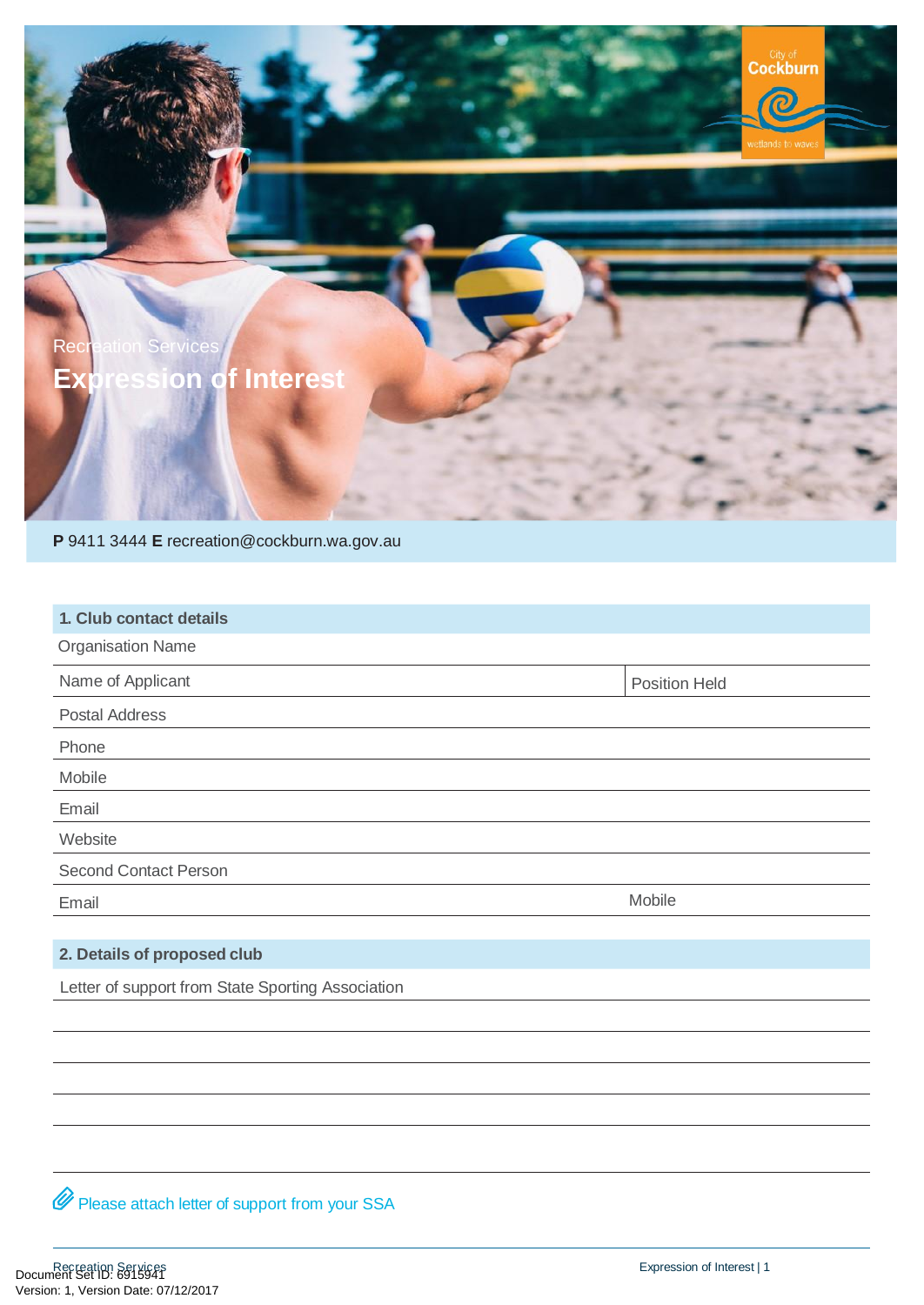

**P** 9411 3444 **E** [recreation@cockburn.wa.gov.au](mailto:recreation@cockburn.wa.gov.au)

| 1. Club contact details      |                      |
|------------------------------|----------------------|
| <b>Organisation Name</b>     |                      |
| Name of Applicant            | <b>Position Held</b> |
| <b>Postal Address</b>        |                      |
| Phone                        |                      |
| Mobile                       |                      |
| Email                        |                      |
| Website                      |                      |
| <b>Second Contact Person</b> |                      |
| Email                        | Mobile               |

## **2. Details of proposed club**

Letter of support from State Sporting Association

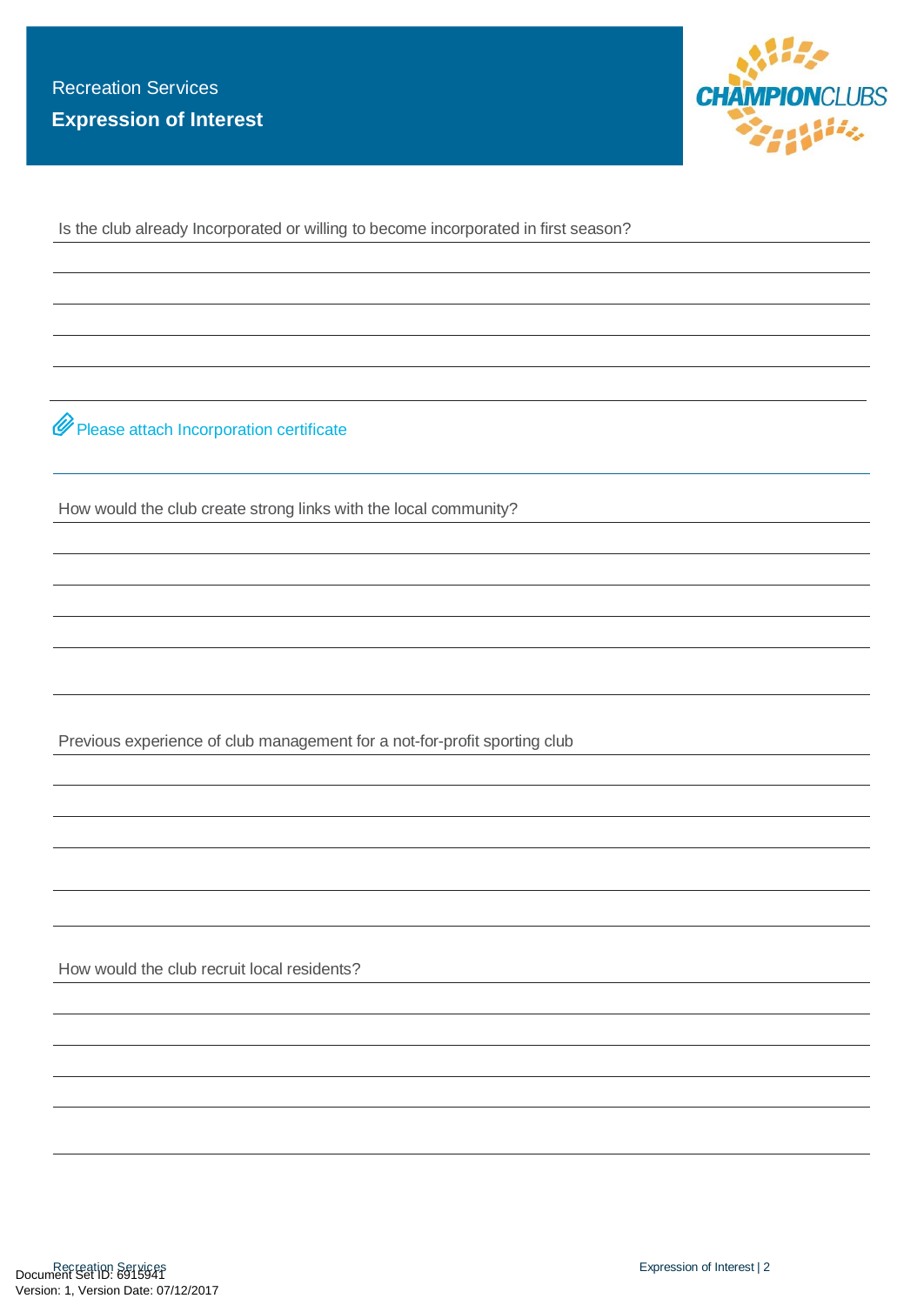

Is the club already Incorporated or willing to become incorporated in first season?

 $\mathscr Q$  Please attach Incorporation certificate

How would the club create strong links with the local community?

Previous experience of club management for a not-for-profit sporting club

How would the club recruit local residents?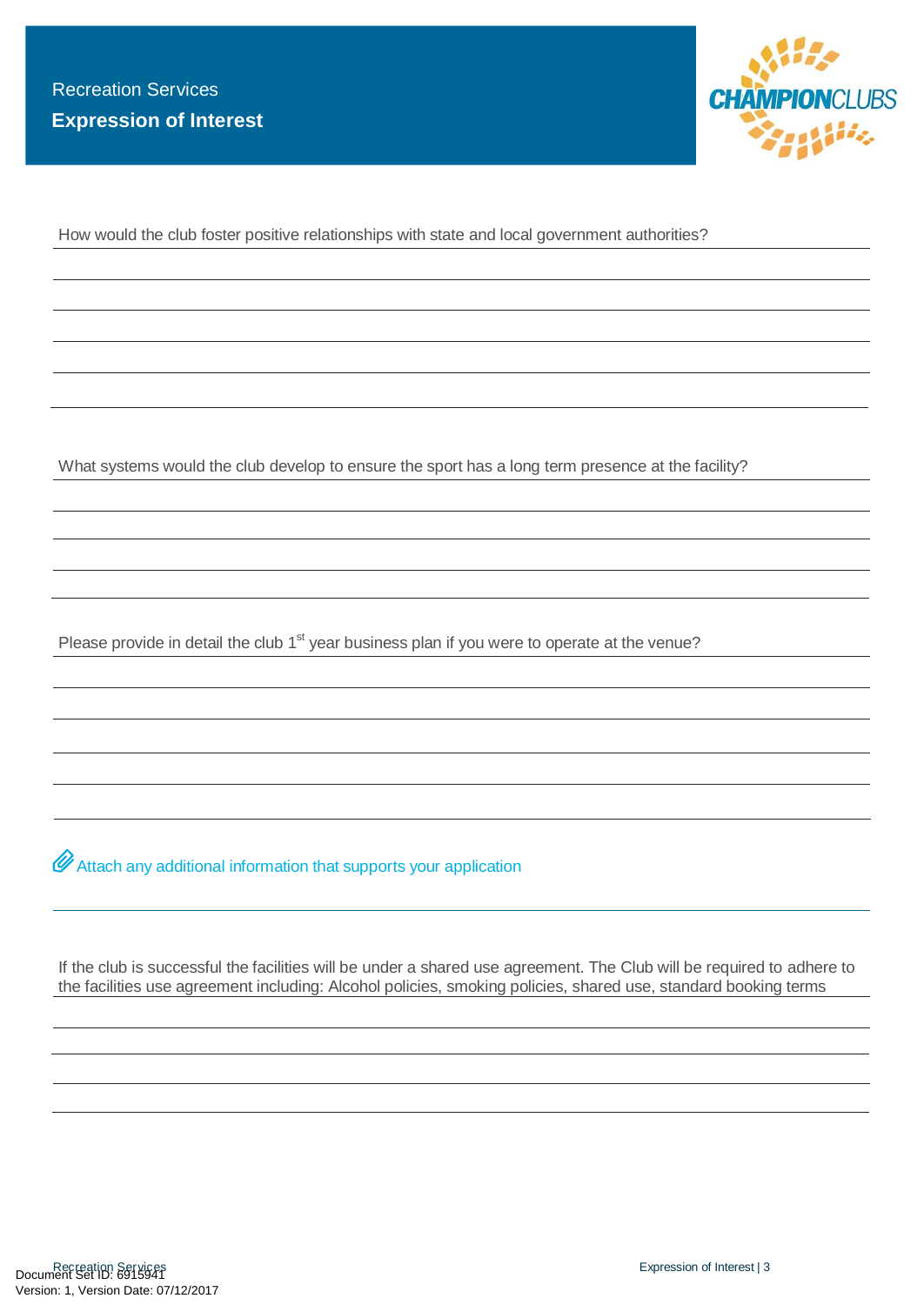

How would the club foster positive relationships with state and local government authorities?

What systems would the club develop to ensure the sport has a long term presence at the facility?

Please provide in detail the club 1<sup>st</sup> year business plan if you were to operate at the venue?

 $\mathscr O$  Attach any additional information that supports your application

If the club is successful the facilities will be under a shared use agreement. The Club will be required to adhere to the facilities use agreement including: Alcohol policies, smoking policies, shared use, standard booking terms